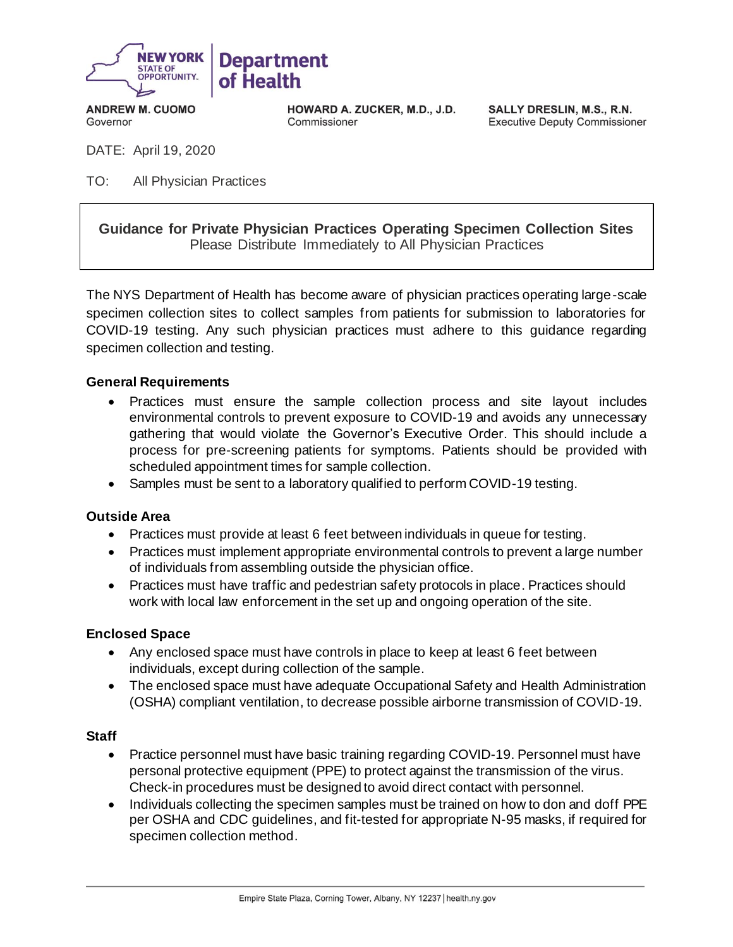

**ANDREW M. CUOMO** Governor

**HOWARD A. ZUCKER, M.D., J.D.** Commissioner

SALLY DRESLIN, M.S., R.N. **Executive Deputy Commissioner** 

DATE: April 19, 2020

TO: All Physician Practices

**Guidance for Private Physician Practices Operating Specimen Collection Sites** Please Distribute Immediately to All Physician Practices

The NYS Department of Health has become aware of physician practices operating large-scale specimen collection sites to collect samples from patients for submission to laboratories for COVID-19 testing. Any such physician practices must adhere to this guidance regarding specimen collection and testing.

## **General Requirements**

- Practices must ensure the sample collection process and site layout includes environmental controls to prevent exposure to COVID-19 and avoids any unnecessary gathering that would violate the Governor's Executive Order. This should include a process for pre-screening patients for symptoms. Patients should be provided with scheduled appointment times for sample collection.
- Samples must be sent to a laboratory qualified to perform COVID-19 testing.

### **Outside Area**

- Practices must provide at least 6 feet between individuals in queue for testing.
- Practices must implement appropriate environmental controls to prevent a large number of individuals from assembling outside the physician office.
- Practices must have traffic and pedestrian safety protocols in place. Practices should work with local law enforcement in the set up and ongoing operation of the site.

### **Enclosed Space**

- Any enclosed space must have controls in place to keep at least 6 feet between individuals, except during collection of the sample.
- The enclosed space must have adequate Occupational Safety and Health Administration (OSHA) compliant ventilation, to decrease possible airborne transmission of COVID-19.

### **Staff**

- Practice personnel must have basic training regarding COVID-19. Personnel must have personal protective equipment (PPE) to protect against the transmission of the virus. Check-in procedures must be designed to avoid direct contact with personnel.
- Individuals collecting the specimen samples must be trained on how to don and doff PPE per OSHA and CDC guidelines, and fit-tested for appropriate N-95 masks, if required for specimen collection method.